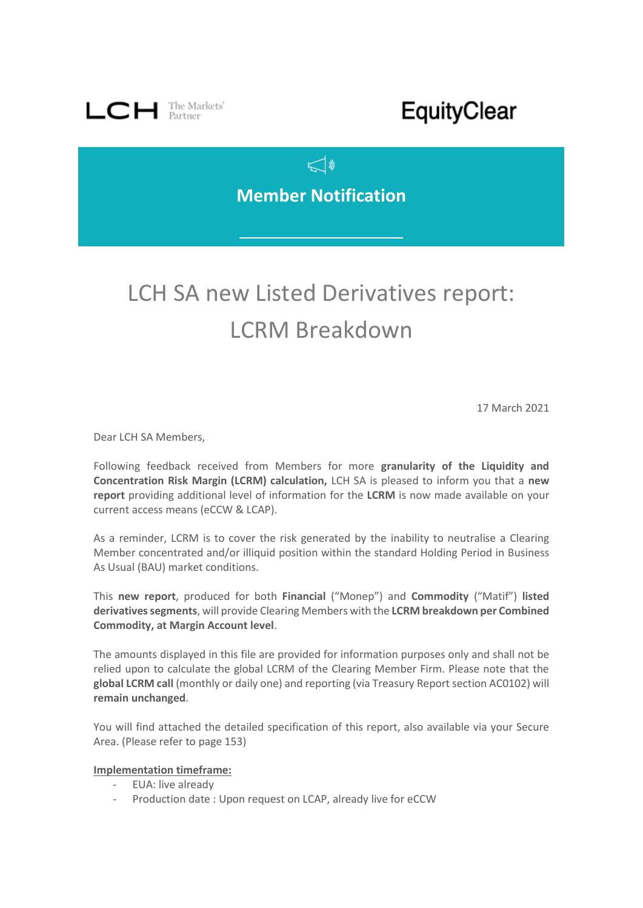

## EquityClear

### $\triangleleft$ **Member Notification**

# LCH SA new Listed Derivatives report: LCRM Breakdown

17 March 2021

Dear LCH SA Members,

Following feedback received from Members for more **granularity of the Liquidity and Concentration Risk Margin (LCRM) calculation,** LCH SA is pleased to inform you that a **new report** providing additional level of information for the **LCRM** is now made available on your current access means (eCCW & LCAP).

As a reminder, LCRM is to cover the risk generated by the inability to neutralise a Clearing Member concentrated and/or illiquid position within the standard Holding Period in Business As Usual (BAU) market conditions.

This **new report**, produced for both **Financial** ("Monep") and **Commodity** ("Matif") **listed derivatives segments**, will provide Clearing Members with the **LCRM breakdown per Combined Commodity, at Margin Account level**.

The amounts displayed in this file are provided for information purposes only and shall not be relied upon to calculate the global LCRM of the Clearing Member Firm. Please note that the **global LCRM call** (monthly or daily one) and reporting (via Treasury Report section AC0102) will **remain unchanged**.

You will find attached the detailed specification of this report, also available via your Secure Area. (Please refer to page 153)

### **Implementation timeframe:**

- EUA: live already
- Production date : Upon request on LCAP, already live for eCCW